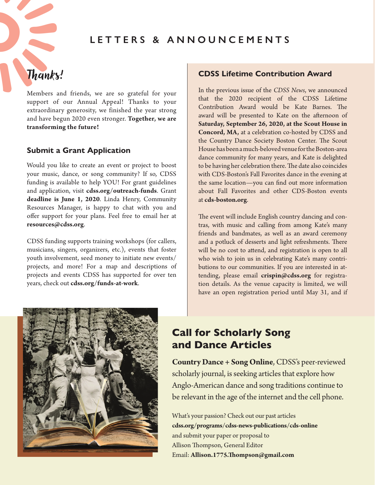# LETTERS & ANNOUNCEMENTS<br> **Thanks!**<br>
Members and friends we are so grateful for your

# Thanks!

Members and friends, we are so grateful for your support of our Annual Appeal! Thanks to your extraordinary generosity, we finished the year strong and have begun 2020 even stronger. **Together, we are transforming the future!**

# **Submit a Grant Application**

Would you like to create an event or project to boost your music, dance, or song community? If so, CDSS funding is available to help YOU! For grant guidelines and application, visit **cdss.org/outreach-funds**. Grant **deadline is June 1, 2020**. Linda Henry, Community Resources Manager, is happy to chat with you and offer support for your plans. Feel free to email her at **resources@cdss.org**.

CDSS funding supports training workshops (for callers, musicians, singers, organizers, etc.), events that foster youth involvement, seed money to initiate new events/ projects, and more! For a map and descriptions of projects and events CDSS has supported for over ten years, check out **cdss.org/funds-at-work**.

# **CDSS Lifetime Contribution Award**

In the previous issue of the *CDSS News*, we announced that the 2020 recipient of the CDSS Lifetime Contribution Award would be Kate Barnes. The award will be presented to Kate on the afternoon of **Saturday, September 26, 2020, at the Scout House in Concord, MA,** at a celebration co-hosted by CDSS and the Country Dance Society Boston Center. The Scout House has been a much-beloved venue for the Boston-area dance community for many years, and Kate is delighted to be having her celebration there. The date also coincides with CDS-Boston's Fall Favorites dance in the evening at the same location—you can find out more information about Fall Favorites and other CDS-Boston events at **cds-boston.org**.

The event will include English country dancing and contras, with music and calling from among Kate's many friends and bandmates, as well as an award ceremony and a potluck of desserts and light refreshments. There will be no cost to attend, and registration is open to all who wish to join us in celebrating Kate's many contributions to our communities. If you are interested in attending, please email **crispin@cdss.org** for registration details. As the venue capacity is limited, we will have an open registration period until May 31, and if



# Call for Scholarly Song and Dance Articles

**Country Dance + Song Online**, CDSS's peer-reviewed scholarly journal, is seeking articles that explore how Anglo-American dance and song traditions continue to be relevant in the age of the internet and the cell phone.

What's your passion? Check out our past articles **cdss.org/programs/cdss-news-publications/cds-online**  and submit your paper or proposal to Allison Thompson, General Editor Email: **Allison.1775.Thompson@gmail.com**